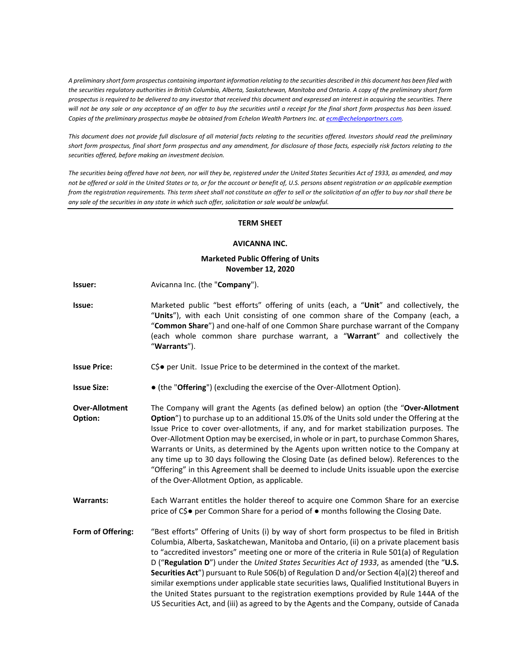*A preliminary short form prospectus containing important information relating to the securities described in this document has been filed with the securities regulatory authorities in British Columbia, Alberta, Saskatchewan, Manitoba and Ontario. A copy of the preliminary short form prospectus is required to be delivered to any investor that received this document and expressed an interest in acquiring the securities. There will not be any sale or any acceptance of an offer to buy the securities until a receipt for the final short form prospectus has been issued. Copies of the preliminary prospectus maybe be obtained from Echelon Wealth Partners Inc. at ecm@echelonpartners.com.* 

*This document does not provide full disclosure of all material facts relating to the securities offered. Investors should read the preliminary short form prospectus, final short form prospectus and any amendment, for disclosure of those facts, especially risk factors relating to the securities offered, before making an investment decision.* 

*The securities being offered have not been, nor will they be, registered under the United States Securities Act of 1933, as amended, and may not be offered or sold in the United States or to, or for the account or benefit of, U.S. persons absent registration or an applicable exemption from the registration requirements. This term sheet shall not constitute an offer to sell or the solicitation of an offer to buy nor shall there be any sale of the securities in any state in which such offer, solicitation or sale would be unlawful.* 

## **TERM SHEET**

## **AVICANNA INC.**

## **Marketed Public Offering of Units November 12, 2020**

- **Issuer:** Avicanna Inc. (the "**Company**").
- **Issue:** Marketed public "best efforts" offering of units (each, a "**Unit**" and collectively, the "**Units**"), with each Unit consisting of one common share of the Company (each, a "**Common Share**") and one-half of one Common Share purchase warrant of the Company (each whole common share purchase warrant, a "**Warrant**" and collectively the "**Warrants**").
- **Issue Price:** C\$● per Unit. Issue Price to be determined in the context of the market.
- **Issue Size:** (the "Offering") (excluding the exercise of the Over-Allotment Option).
- **Over-Allotment Option:**  The Company will grant the Agents (as defined below) an option (the "**Over-Allotment Option**") to purchase up to an additional 15.0% of the Units sold under the Offering at the Issue Price to cover over-allotments, if any, and for market stabilization purposes. The Over-Allotment Option may be exercised, in whole or in part, to purchase Common Shares, Warrants or Units, as determined by the Agents upon written notice to the Company at any time up to 30 days following the Closing Date (as defined below). References to the "Offering" in this Agreement shall be deemed to include Units issuable upon the exercise of the Over-Allotment Option, as applicable.
- **Warrants:** Each Warrant entitles the holder thereof to acquire one Common Share for an exercise price of C\$● per Common Share for a period of ● months following the Closing Date.
- **Form of Offering:** "Best efforts" Offering of Units (i) by way of short form prospectus to be filed in British Columbia, Alberta, Saskatchewan, Manitoba and Ontario, (ii) on a private placement basis to "accredited investors" meeting one or more of the criteria in Rule 501(a) of Regulation D ("**Regulation D**") under the *United States Securities Act of 1933*, as amended (the "**U.S. Securities Act**") pursuant to Rule 506(b) of Regulation D and/or Section 4(a)(2) thereof and similar exemptions under applicable state securities laws, Qualified Institutional Buyers in the United States pursuant to the registration exemptions provided by Rule 144A of the US Securities Act, and (iii) as agreed to by the Agents and the Company, outside of Canada